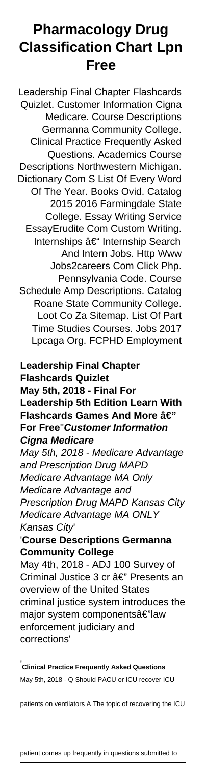# **Pharmacology Drug Classification Chart Lpn Free**

Leadership Final Chapter Flashcards Quizlet. Customer Information Cigna Medicare. Course Descriptions Germanna Community College. Clinical Practice Frequently Asked Questions. Academics Course Descriptions Northwestern Michigan. Dictionary Com S List Of Every Word Of The Year. Books Ovid. Catalog 2015 2016 Farmingdale State College. Essay Writing Service EssayErudite Com Custom Writing. Internships – Internship Search And Intern Jobs. Http Www Jobs2careers Com Click Php. Pennsylvania Code. Course Schedule Amp Descriptions. Catalog Roane State Community College. Loot Co Za Sitemap. List Of Part Time Studies Courses. Jobs 2017 Lpcaga Org. FCPHD Employment

## **Leadership Final Chapter Flashcards Quizlet May 5th, 2018 - Final For Leadership 5th Edition Learn With Flashcards Games And More â€" For Free**''**Customer Information Cigna Medicare**

May 5th, 2018 - Medicare Advantage and Prescription Drug MAPD Medicare Advantage MA Only Medicare Advantage and Prescription Drug MAPD Kansas City Medicare Advantage MA ONLY Kansas City'

## '**Course Descriptions Germanna Community College**

May 4th, 2018 - ADJ 100 Survey of Criminal Justice 3 cr â€" Presents an overview of the United States criminal justice system introduces the major system componentsâ€"law enforcement judiciary and corrections'

'**Clinical Practice Frequently Asked Questions** May 5th, 2018 - Q Should PACU or ICU recover ICU

patients on ventilators A The topic of recovering the ICU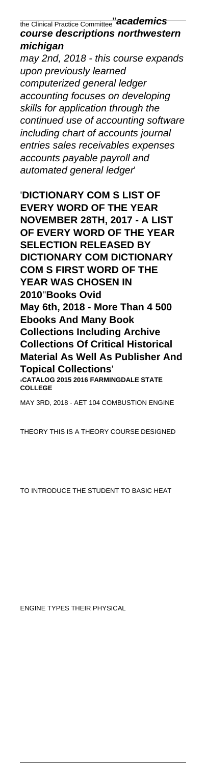the Clinical Practice Committee''**academics course descriptions northwestern michigan**

may 2nd, 2018 - this course expands upon previously learned computerized general ledger accounting focuses on developing skills for application through the continued use of accounting software including chart of accounts journal entries sales receivables expenses accounts payable payroll and automated general ledger'

'**DICTIONARY COM S LIST OF EVERY WORD OF THE YEAR NOVEMBER 28TH, 2017 - A LIST OF EVERY WORD OF THE YEAR SELECTION RELEASED BY DICTIONARY COM DICTIONARY COM S FIRST WORD OF THE YEAR WAS CHOSEN IN 2010**''**Books Ovid May 6th, 2018 - More Than 4 500 Ebooks And Many Book Collections Including Archive Collections Of Critical Historical Material As Well As Publisher And Topical Collections**' '**CATALOG 2015 2016 FARMINGDALE STATE COLLEGE** MAY 3RD, 2018 - AET 104 COMBUSTION ENGINE

THEORY THIS IS A THEORY COURSE DESIGNED

TO INTRODUCE THE STUDENT TO BASIC HEAT

ENGINE TYPES THEIR PHYSICAL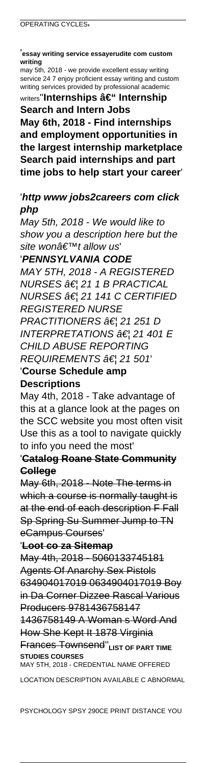'**essay writing service essayerudite com custom writing**

may 5th, 2018 - we provide excellent essay writing service 24 7 enjoy proficient essay writing and custom writing services provided by professional academic writers"**Internships – Internship** 

**Search and Intern Jobs May 6th, 2018 - Find internships and employment opportunities in the largest internship marketplace Search paid internships and part time jobs to help start your career**'

## '**http www jobs2careers com click php**

May 5th, 2018 - We would like to show you a description here but the site wonâ€<sup>™t</sup> allow us

'**PENNSYLVANIA CODE**

MAY 5TH, 2018 - A REGISTERED  $NURSES$   $\hat{a}\in$   $'$  21 1 B PRACTICAL NURSES … 21 141 C CERTIFIED REGISTERED NURSE PRACTITIONERS †¦ 21 251 D INTERPRETATIONS  $\hat{\sigma}\in I$  21 401 E CHILD ABUSE REPORTING  $REQUIREMENTS \hat{a} \in l$  21 501 '**Course Schedule amp**

#### **Descriptions**

May 4th, 2018 - Take advantage of this at a glance look at the pages on the SCC website you most often visit Use this as a tool to navigate quickly to info you need the most'

### '**Catalog Roane State Community College**

May 6th, 2018 - Note The terms in which a course is normally taught is at the end of each description F Fall Sp Spring Su Summer Jump to TN eCampus Courses'

#### '**Loot co za Sitemap**

May 4th, 2018 - 5060133745181 Agents Of Anarchy Sex Pistols 634904017019 0634904017019 Boy in Da Corner Dizzee Rascal Various Producers 9781436758147

1436758149 A Woman s Word And How She Kept It 1878 Virginia Frances Townsend''**LIST OF PART TIME**

**STUDIES COURSES** MAY 5TH, 2018 - CREDENTIAL NAME OFFERED

LOCATION DESCRIPTION AVAILABLE C ABNORMAL